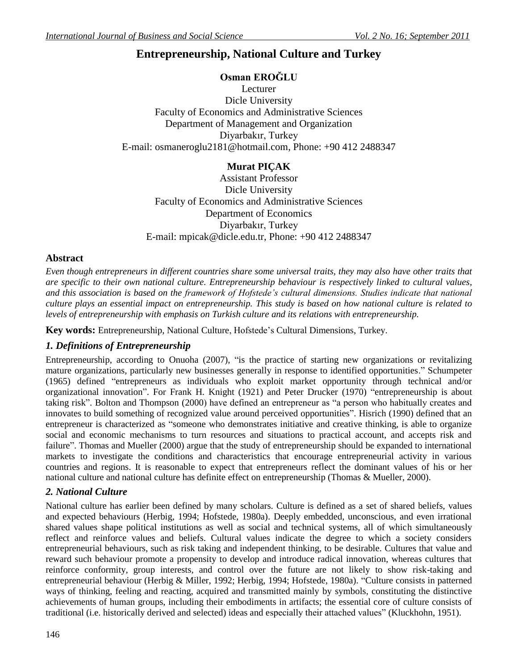# **Entrepreneurship, National Culture and Turkey**

#### **Osman EROĞLU**

Lecturer Dicle University Faculty of Economics and Administrative Sciences Department of Management and Organization Diyarbakır, Turkey E-mail: [osmaneroglu2181@hotmail.com,](mailto:osmaneroglu2181@hotmail.com) Phone: +90 412 2488347

### **Murat PIÇAK**

Assistant Professor Dicle University Faculty of Economics and Administrative Sciences Department of Economics Diyarbakır, Turkey E-mail: [mpicak@dicle.edu.tr,](mailto:mpicak@dicle.edu.tr) Phone: +90 412 2488347

#### **Abstract**

*Even though entrepreneurs in different countries share some universal traits, they may also have other traits that are specific to their own national culture. Entrepreneurship behaviour is respectively linked to cultural values, and this association is based on the framework of Hofstede's cultural dimensions. Studies indicate that national culture plays an essential impact on entrepreneurship. This study is based on how national culture is related to levels of entrepreneurship with emphasis on Turkish culture and its relations with entrepreneurship.* 

**Key words:** Entrepreneurship, National Culture, Hofstede's Cultural Dimensions, Turkey.

# *1. Definitions of Entrepreneurship*

Entrepreneurship, according to Onuoha (2007), "is the practice of starting new [organizations](http://en.wikipedia.org/wiki/Organization) or revitalizing mature [organizations,](http://en.wikipedia.org/wiki/Organization) particularly new [businesses](http://en.wikipedia.org/wiki/Business) generally in response to identified opportunities." Schumpeter (1965) defined "entrepreneurs as individuals who exploit market opportunity through technical and/or organizational innovation". For [Frank H. Knight](http://en.wikipedia.org/wiki/Frank_H._Knight) (1921) and [Peter Drucker](http://en.wikipedia.org/wiki/Peter_Drucker) (1970) "entrepreneurship is about taking [risk"](http://en.wikipedia.org/wiki/Risk). Bolton and Thompson (2000) have defined an entrepreneur as "a person who habitually creates and innovates to build something of recognized value around perceived opportunities". Hisrich (1990) defined that an entrepreneur is characterized as "someone who demonstrates initiative and creative thinking, is able to organize social and economic mechanisms to turn resources and situations to practical account, and accepts risk and failure". Thomas and Mueller (2000) argue that the study of entrepreneurship should be expanded to international markets to investigate the conditions and characteristics that encourage entrepreneurial activity in various countries and regions. It is reasonable to expect that entrepreneurs reflect the dominant values of his or her national culture and national culture has definite effect on entrepreneurship (Thomas & Mueller, 2000).

#### *2. National Culture*

National culture has earlier been defined by many scholars. Culture is defined as a set of shared beliefs, values and expected behaviours (Herbig, 1994; Hofstede, 1980a). Deeply embedded, unconscious, and even irrational shared values shape political institutions as well as social and technical systems, all of which simultaneously reflect and reinforce values and beliefs. Cultural values indicate the degree to which a society considers entrepreneurial behaviours, such as risk taking and independent thinking, to be desirable. Cultures that value and reward such behaviour promote a propensity to develop and introduce radical innovation, whereas cultures that reinforce conformity, group interests, and control over the future are not likely to show risk-taking and entrepreneurial behaviour (Herbig & Miller, 1992; Herbig, 1994; Hofstede, 1980a). "Culture consists in patterned ways of thinking, feeling and reacting, acquired and transmitted mainly by symbols, constituting the distinctive achievements of human groups, including their embodiments in artifacts; the essential core of culture consists of traditional (i.e. historically derived and selected) ideas and especially their attached values" (Kluckhohn, 1951).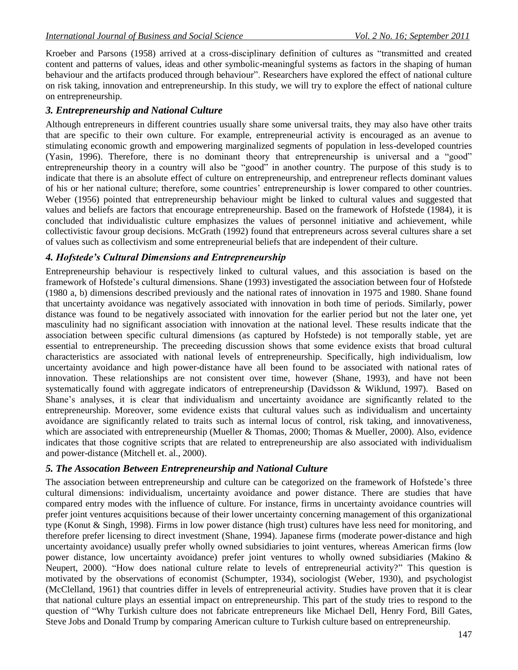Kroeber and Parsons (1958) arrived at a cross-disciplinary definition of cultures as "transmitted and created content and patterns of values, ideas and other symbolic-meaningful systems as factors in the shaping of human behaviour and the artifacts produced through behaviour". Researchers have explored the effect of national culture on risk taking, innovation and entrepreneurship. In this study, we will try to explore the effect of national culture on entrepreneurship. 

#### *3. Entrepreneurship and National Culture*

Although entrepreneurs in different countries usually share some universal traits, they may also have other traits that are specific to their own culture. For example, entrepreneurial activity is encouraged as an avenue to stimulating economic growth and empowering marginalized segments of population in less-developed countries (Yasin, 1996). Therefore, there is no dominant theory that entrepreneurship is universal and a "good" entrepreneurship theory in a country will also be "good" in another country. The purpose of this study is to indicate that there is an absolute effect of culture on entrepreneurship, and entrepreneur reflects dominant values of his or her national culture; therefore, some countries' entrepreneurship is lower compared to other countries. Weber (1956) pointed that entrepreneurship behaviour might be linked to cultural values and suggested that values and beliefs are factors that encourage entrepreneurship. Based on the framework of Hofstede (1984), it is concluded that individualistic culture emphasizes the values of personnel initiative and achievement, while collectivistic favour group decisions. McGrath (1992) found that entrepreneurs across several cultures share a set of values such as collectivism and some entrepreneurial beliefs that are independent of their culture.

#### *4. Hofstede's Cultural Dimensions and Entrepreneurship*

Entrepreneurship behaviour is respectively linked to cultural values, and this association is based on the framework of Hofstede's cultural dimensions. Shane (1993) investigated the association between four of Hofstede (1980 a, b) dimensions described previously and the national rates of innovation in 1975 and 1980. Shane found that uncertainty avoidance was negatively associated with innovation in both time of periods. Similarly, power distance was found to be negatively associated with innovation for the earlier period but not the later one, yet masculinity had no significant association with innovation at the national level. These results indicate that the association between specific cultural dimensions (as captured by Hofstede) is not temporally stable, yet are essential to entrepreneurship. The preceeding discussion shows that some evidence exists that broad cultural characteristics are associated with national levels of entrepreneurship. Specifically, high individualism, low uncertainty avoidance and high power-distance have all been found to be associated with national rates of innovation. These relationships are not consistent over time, however (Shane, 1993), and have not been systematically found with aggregate indicators of entrepreneurship (Davidsson & Wiklund, 1997). Based on Shane's analyses, it is clear that individualism and uncertainty avoidance are significantly related to the entrepreneurship. Moreover, some evidence exists that cultural values such as individualism and uncertainty avoidance are significantly related to traits such as internal locus of control, risk taking, and innovativeness, which are associated with entrepreneurship (Mueller & Thomas, 2000; Thomas & Mueller, 2000). Also, evidence indicates that those cognitive scripts that are related to entrepreneurship are also associated with individualism and power-distance (Mitchell et. al., 2000).

# *5. The Assocation Between Entrepreneurship and National Culture*

The association between entrepreneurship and culture can be categorized on the framework of Hofstede's three cultural dimensions: individualism, uncertainty avoidance and power distance. There are studies that have compared entry modes with the influence of culture. For instance, firms in uncertainty avoidance countries will prefer joint ventures acquisitions because of their lower uncertainty concerning management of this organizational type (Konut & Singh, 1998). Firms in low power distance (high trust) cultures have less need for monitoring, and therefore prefer licensing to direct investment (Shane, 1994). Japanese firms (moderate power-distance and high uncertainty avoidance) usually prefer wholly owned subsidiaries to joint ventures, whereas American firms (low power distance, low uncertainty avoidance) prefer joint ventures to wholly owned subsidiaries (Makino & Neupert, 2000). "How does national culture relate to levels of entrepreneurial activity?" This question is motivated by the observations of economist (Schumpter, 1934), sociologist (Weber, 1930), and psychologist (McClelland, 1961) that countries differ in levels of entrepreneurial activity. Studies have proven that it is clear that national culture plays an essential impact on entrepreneurship. This part of the study tries to respond to the question of "Why Turkish culture does not fabricate entrepreneurs like Michael Dell, Henry Ford, Bill Gates, Steve Jobs and Donald Trump by comparing American culture to Turkish culture based on entrepreneurship.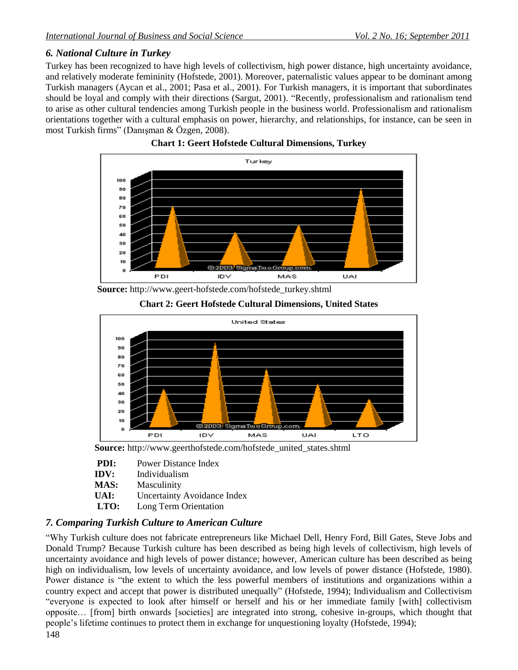# *6. National Culture in Turkey*

Turkey has been recognized to have high levels of collectivism, high power distance, high uncertainty avoidance, and relatively moderate femininity (Hofstede, 2001). Moreover, paternalistic values appear to be dominant among Turkish managers (Aycan et al., 2001; Pasa et al., 2001). For Turkish managers, it is important that subordinates should be loyal and comply with their directions (Sargut, 2001). "Recently, professionalism and rationalism tend to arise as other cultural tendencies among Turkish people in the business world. Professionalism and rationalism orientations together with a cultural emphasis on power, hierarchy, and relationships, for instance, can be seen in most Turkish firms" (Danışman & Özgen, 2008).





 **Source:** [http://www.geert-hofstede.com/hofstede\\_turkey.shtml](http://www.geert-hofstede.com/hofstede_turkey.shtml)





**Source:** [http://www.geerthofstede.com/hofstede\\_united\\_states.shtml](http://www.geerthofstede.com/hofstede_united_states.shtml)

| PDI: | Power Distance Index |
|------|----------------------|
|      |                      |

- **IDV:** Individualism
- **MAS:** Masculinity
- UAI: Uncertainty Avoidance Index
- **LTO:** Long Term Orientation

# *7. Comparing Turkish Culture to American Culture*

148 "Why Turkish culture does not fabricate entrepreneurs like Michael Dell, Henry Ford, Bill Gates, Steve Jobs and Donald Trump? Because Turkish culture has been described as being high levels of collectivism, high levels of uncertainty avoidance and high levels of power distance; however, American culture has been described as being high on individualism, low levels of uncertainty avoidance, and low levels of power distance (Hofstede, 1980). Power distance is "the extent to which the less powerful members of institutions and organizations within a country expect and accept that power is distributed unequally" (Hofstede, 1994); Individualism and Collectivism "everyone is expected to look after himself or herself and his or her immediate family [with] collectivism opposite… [from] birth onwards [societies] are integrated into strong, cohesive in-groups, which thought that people's lifetime continues to protect them in exchange for unquestioning loyalty (Hofstede, 1994);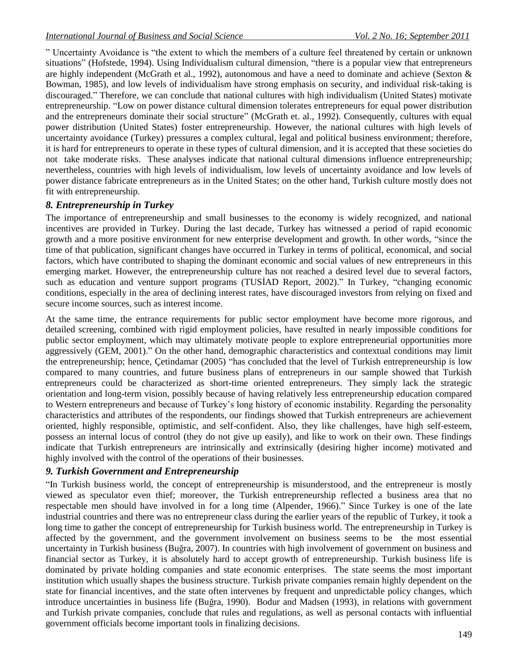" Uncertainty Avoidance is "the extent to which the members of a culture feel threatened by certain or unknown situations" (Hofstede, 1994). Using Individualism cultural dimension, "there is a popular view that entrepreneurs are highly independent (McGrath et al., 1992), autonomous and have a need to dominate and achieve (Sexton & Bowman, 1985), and low levels of individualism have strong emphasis on security, and individual risk-taking is discouraged." Therefore, we can conclude that national cultures with high individualism (United States) motivate entrepreneurship. "Low on power distance cultural dimension tolerates entrepreneurs for equal power distribution and the entrepreneurs dominate their social structure" (McGrath et. al., 1992). Consequently, cultures with equal power distribution (United States) foster entrepreneurship. However, the national cultures with high levels of uncertainty avoidance (Turkey) pressures a complex cultural, legal and political business environment; therefore, it is hard for entrepreneurs to operate in these types of cultural dimension, and it is accepted that these societies do not take moderate risks. These analyses indicate that national cultural dimensions influence entrepreneurship; nevertheless, countries with high levels of individualism, low levels of uncertainty avoidance and low levels of power distance fabricate entrepreneurs as in the United States; on the other hand, Turkish culture mostly does not fit with entrepreneurship.

# *8. Entrepreneurship in Turkey*

The importance of entrepreneurship and small businesses to the economy is widely recognized, and national incentives are provided in Turkey. During the last decade, Turkey has witnessed a period of rapid economic growth and a more positive environment for new enterprise development and growth. In other words, "since the time of that publication, significant changes have occurred in Turkey in terms of political, economical, and social factors, which have contributed to shaping the dominant economic and social values of new entrepreneurs in this emerging market. However, the entrepreneurship culture has not reached a desired level due to several factors, such as education and venture support programs (TUSİAD Report, 2002)." In Turkey, "changing economic conditions, especially in the area of declining interest rates, have discouraged investors from relying on fixed and secure income sources, such as interest income.

At the same time, the entrance requirements for public sector employment have become more rigorous, and detailed screening, combined with rigid employment policies, have resulted in nearly impossible conditions for public sector employment, which may ultimately motivate people to explore entrepreneurial opportunities more aggressively (GEM, 2001)." On the other hand, demographic characteristics and contextual conditions may limit the entrepreneurship; hence, Çetindamar (2005) "has concluded that the level of Turkish entrepreneurship is low compared to many countries, and future business plans of entrepreneurs in our sample showed that Turkish entrepreneurs could be characterized as short-time oriented entrepreneurs. They simply lack the strategic orientation and long-term vision, possibly because of having relatively less entrepreneurship education compared to Western entrepreneurs and because of Turkey's long history of economic instability. Regarding the personality characteristics and attributes of the respondents, our findings showed that Turkish entrepreneurs are achievement oriented, highly responsible, optimistic, and self-confident. Also, they like challenges, have high self-esteem, possess an internal locus of control (they do not give up easily), and like to work on their own. These findings indicate that Turkish entrepreneurs are intrinsically and extrinsically (desiring higher income) motivated and highly involved with the control of the operations of their businesses.

# *9. Turkish Government and Entrepreneurship*

"In Turkish business world, the concept of entrepreneurship is misunderstood, and the entrepreneur is mostly viewed as speculator even thief; moreover, the Turkish entrepreneurship reflected a business area that no respectable men should have involved in for a long time (Alpender, 1966)." Since Turkey is one of the late industrial countries and there was no entrepreneur class during the earlier years of the republic of Turkey, it took a long time to gather the concept of entrepreneurship for Turkish business world. The entrepreneurship in Turkey is affected by the government, and the government involvement on business seems to be the most essential uncertainty in Turkish business (Buğra, 2007). In countries with high involvement of government on business and financial sector as Turkey, it is absolutely hard to accept growth of entrepreneurship. Turkish business life is dominated by private holding companies and state economic enterprises. The state seems the most important institution which usually shapes the business structure. Turkish private companies remain highly dependent on the state for financial incentives, and the state often intervenes by frequent and unpredictable policy changes, which introduce uncertainties in business life (Buğra, 1990). Bodur and Madsen (1993), in relations with government and Turkish private companies, conclude that rules and regulations, as well as personal contacts with influential government officials become important tools in finalizing decisions.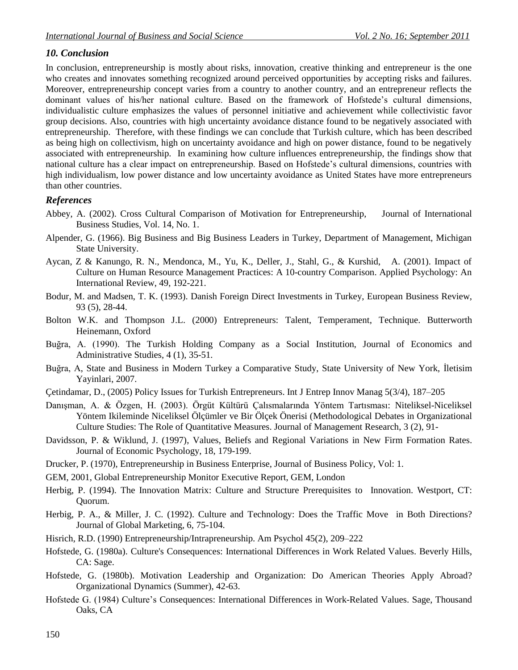#### *10. Conclusion*

In conclusion, entrepreneurship is mostly about risks, innovation, creative thinking and entrepreneur is the one who creates and innovates something recognized around perceived opportunities by accepting risks and failures. Moreover, entrepreneurship concept varies from a country to another country, and an entrepreneur reflects the dominant values of his/her national culture. Based on the framework of Hofstede's cultural dimensions, individualistic culture emphasizes the values of personnel initiative and achievement while collectivistic favor group decisions. Also, countries with high uncertainty avoidance distance found to be negatively associated with entrepreneurship. Therefore, with these findings we can conclude that Turkish culture, which has been described as being high on collectivism, high on uncertainty avoidance and high on power distance, found to be negatively associated with entrepreneurship. In examining how culture influences entrepreneurship, the findings show that national culture has a clear impact on entrepreneurship. Based on Hofstede's cultural dimensions, countries with high individualism, low power distance and low uncertainty avoidance as United States have more entrepreneurs than other countries.

#### *References*

- Abbey, A. (2002). Cross Cultural Comparison of Motivation for Entrepreneurship, Journal of International Business Studies, Vol. 14, No. 1.
- Alpender, G. (1966). Big Business and Big Business Leaders in Turkey, Department of Management, Michigan State University.
- Aycan, Z & Kanungo, R. N., Mendonca, M., Yu, K., Deller, J., Stahl, G., & Kurshid, A. (2001). Impact of Culture on Human Resource Management Practices: A 10-country Comparison. Applied Psychology: An International Review, 49, 192-221.
- Bodur, M. and Madsen, T. K. (1993). Danish Foreign Direct Investments in Turkey, European Business Review, 93 (5), 28-44.
- Bolton W.K. and Thompson J.L. (2000) Entrepreneurs: Talent, Temperament, Technique. Butterworth Heinemann, Oxford
- Buğra, A. (1990). The Turkish Holding Company as a Social Institution, Journal of Economics and Administrative Studies, 4 (1), 35-51.
- Buğra, A, State and Business in Modern Turkey a Comparative Study, State University of New York, İletisim Yayinlari, 2007.
- Çetindamar, D., (2005) Policy Issues for Turkish Entrepreneurs. Int J Entrep Innov Manag 5(3/4), 187–205
- Danışman, A. & Özgen, H. (2003). Örgüt Kültürü Çalısmalarında Yöntem Tartısması: Niteliksel-Niceliksel Yöntem Ikileminde Niceliksel Ölçümler ve Bir Ölçek Önerisi (Methodological Debates in Organizational Culture Studies: The Role of Quantitative Measures. Journal of Management Research, 3 (2), 91-
- Davidsson, P. & Wiklund, J. (1997), Values, Beliefs and Regional Variations in New Firm Formation Rates. Journal of Economic Psychology, 18, 179-199.
- [Drucker,](http://en.wikipedia.org/wiki/Peter_Drucker) P. (1970), Entrepreneurship in Business Enterprise, Journal of Business Policy, Vol: 1.
- GEM, 2001, Global Entrepreneurship Monitor Executive Report, GEM, London
- Herbig, P. (1994). The Innovation Matrix: Culture and Structure Prerequisites to Innovation. Westport, CT: Quorum.
- Herbig, P. A., & Miller, J. C. (1992). Culture and Technology: Does the Traffic Move in Both Directions? Journal of Global Marketing, 6, 75-104.
- Hisrich, R.D. (1990) Entrepreneurship/Intrapreneurship. Am Psychol 45(2), 209–222
- Hofstede, G. (1980a). Culture's Consequences: International Differences in Work Related Values. Beverly Hills, CA: Sage.
- Hofstede, G. (1980b). Motivation Leadership and Organization: Do American Theories Apply Abroad? Organizational Dynamics (Summer), 42-63.
- Hofstede G. (1984) Culture's Consequences: International Differences in Work-Related Values. Sage, Thousand Oaks, CA